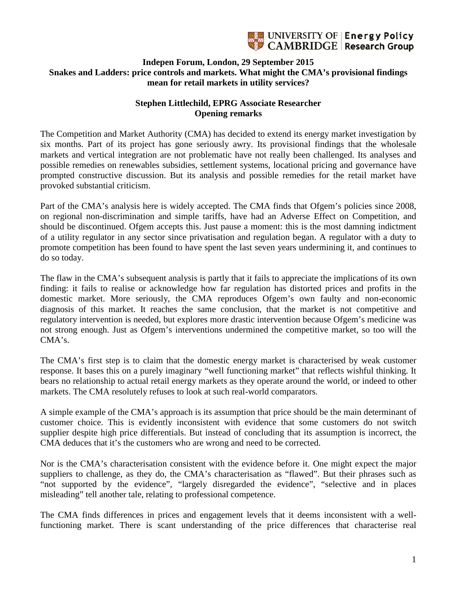

## **Indepen Forum, London, 29 September 2015 Snakes and Ladders: price controls and markets. What might the CMA's provisional findings mean for retail markets in utility services?**

## **Stephen Littlechild, EPRG Associate Researcher Opening remarks**

The Competition and Market Authority (CMA) has decided to extend its energy market investigation by six months. Part of its project has gone seriously awry. Its provisional findings that the wholesale markets and vertical integration are not problematic have not really been challenged. Its analyses and possible remedies on renewables subsidies, settlement systems, locational pricing and governance have prompted constructive discussion. But its analysis and possible remedies for the retail market have provoked substantial criticism.

Part of the CMA's analysis here is widely accepted. The CMA finds that Ofgem's policies since 2008, on regional non-discrimination and simple tariffs, have had an Adverse Effect on Competition, and should be discontinued. Ofgem accepts this. Just pause a moment: this is the most damning indictment of a utility regulator in any sector since privatisation and regulation began. A regulator with a duty to promote competition has been found to have spent the last seven years undermining it, and continues to do so today.

The flaw in the CMA's subsequent analysis is partly that it fails to appreciate the implications of its own finding: it fails to realise or acknowledge how far regulation has distorted prices and profits in the domestic market. More seriously, the CMA reproduces Ofgem's own faulty and non-economic diagnosis of this market. It reaches the same conclusion, that the market is not competitive and regulatory intervention is needed, but explores more drastic intervention because Ofgem's medicine was not strong enough. Just as Ofgem's interventions undermined the competitive market, so too will the CMA's.

The CMA's first step is to claim that the domestic energy market is characterised by weak customer response. It bases this on a purely imaginary "well functioning market" that reflects wishful thinking. It bears no relationship to actual retail energy markets as they operate around the world, or indeed to other markets. The CMA resolutely refuses to look at such real-world comparators.

A simple example of the CMA's approach is its assumption that price should be the main determinant of customer choice. This is evidently inconsistent with evidence that some customers do not switch supplier despite high price differentials. But instead of concluding that its assumption is incorrect, the CMA deduces that it's the customers who are wrong and need to be corrected.

Nor is the CMA's characterisation consistent with the evidence before it. One might expect the major suppliers to challenge, as they do, the CMA's characterisation as "flawed". But their phrases such as "not supported by the evidence", "largely disregarded the evidence", "selective and in places misleading" tell another tale, relating to professional competence.

The CMA finds differences in prices and engagement levels that it deems inconsistent with a wellfunctioning market. There is scant understanding of the price differences that characterise real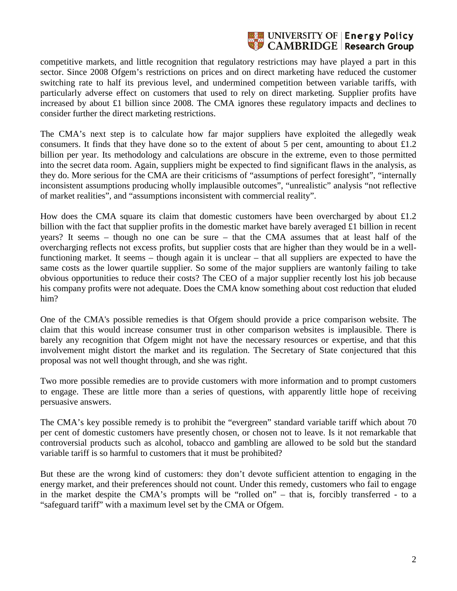

competitive markets, and little recognition that regulatory restrictions may have played a part in this sector. Since 2008 Ofgem's restrictions on prices and on direct marketing have reduced the customer switching rate to half its previous level, and undermined competition between variable tariffs, with particularly adverse effect on customers that used to rely on direct marketing. Supplier profits have increased by about £1 billion since 2008. The CMA ignores these regulatory impacts and declines to consider further the direct marketing restrictions.

The CMA's next step is to calculate how far major suppliers have exploited the allegedly weak consumers. It finds that they have done so to the extent of about 5 per cent, amounting to about  $\pounds$ 1.2 billion per year. Its methodology and calculations are obscure in the extreme, even to those permitted into the secret data room. Again, suppliers might be expected to find significant flaws in the analysis, as they do. More serious for the CMA are their criticisms of "assumptions of perfect foresight", "internally inconsistent assumptions producing wholly implausible outcomes", "unrealistic" analysis "not reflective of market realities", and "assumptions inconsistent with commercial reality".

How does the CMA square its claim that domestic customers have been overcharged by about £1.2 billion with the fact that supplier profits in the domestic market have barely averaged £1 billion in recent years? It seems – though no one can be sure – that the CMA assumes that at least half of the overcharging reflects not excess profits, but supplier costs that are higher than they would be in a wellfunctioning market. It seems – though again it is unclear – that all suppliers are expected to have the same costs as the lower quartile supplier. So some of the major suppliers are wantonly failing to take obvious opportunities to reduce their costs? The CEO of a major supplier recently lost his job because his company profits were not adequate. Does the CMA know something about cost reduction that eluded him?

One of the CMA's possible remedies is that Ofgem should provide a price comparison website. The claim that this would increase consumer trust in other comparison websites is implausible. There is barely any recognition that Ofgem might not have the necessary resources or expertise, and that this involvement might distort the market and its regulation. The Secretary of State conjectured that this proposal was not well thought through, and she was right.

Two more possible remedies are to provide customers with more information and to prompt customers to engage. These are little more than a series of questions, with apparently little hope of receiving persuasive answers.

The CMA's key possible remedy is to prohibit the "evergreen" standard variable tariff which about 70 per cent of domestic customers have presently chosen, or chosen not to leave. Is it not remarkable that controversial products such as alcohol, tobacco and gambling are allowed to be sold but the standard variable tariff is so harmful to customers that it must be prohibited?

But these are the wrong kind of customers: they don't devote sufficient attention to engaging in the energy market, and their preferences should not count. Under this remedy, customers who fail to engage in the market despite the CMA's prompts will be "rolled on" – that is, forcibly transferred - to a "safeguard tariff" with a maximum level set by the CMA or Ofgem.